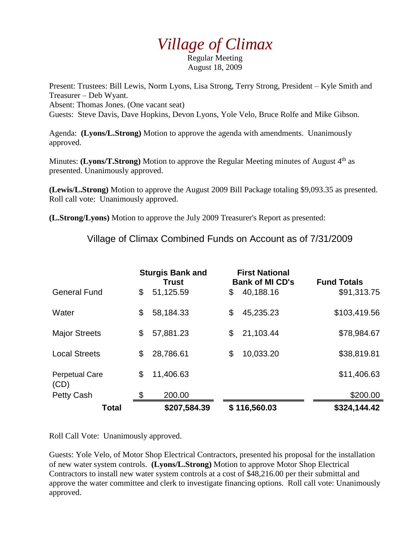## *Village of Climax*

Regular Meeting August 18, 2009

Present: Trustees: Bill Lewis, Norm Lyons, Lisa Strong, Terry Strong, President – Kyle Smith and Treasurer – Deb Wyant. Absent: Thomas Jones. (One vacant seat) Guests: Steve Davis, Dave Hopkins, Devon Lyons, Yole Velo, Bruce Rolfe and Mike Gibson.

Agenda: **(Lyons/L.Strong)** Motion to approve the agenda with amendments. Unanimously approved.

Minutes: **(Lyons/T.Strong)** Motion to approve the Regular Meeting minutes of August 4<sup>th</sup> as presented. Unanimously approved.

**(Lewis/L.Strong)** Motion to approve the August 2009 Bill Package totaling \$9,093.35 as presented. Roll call vote: Unanimously approved.

**(L.Strong/Lyons)** Motion to approve the July 2009 Treasurer's Report as presented:

Village of Climax Combined Funds on Account as of 7/31/2009

|                               | <b>Sturgis Bank and</b><br><b>Trust</b> |              | <b>First National</b><br><b>Bank of MI CD's</b> |              | <b>Fund Totals</b> |
|-------------------------------|-----------------------------------------|--------------|-------------------------------------------------|--------------|--------------------|
| <b>General Fund</b>           | \$                                      | 51,125.59    | \$                                              | 40,188.16    | \$91,313.75        |
| Water                         | \$                                      | 58,184.33    | \$                                              | 45,235.23    | \$103,419.56       |
| <b>Major Streets</b>          | \$                                      | 57,881.23    | \$                                              | 21,103.44    | \$78,984.67        |
| <b>Local Streets</b>          | \$                                      | 28,786.61    | \$                                              | 10,033.20    | \$38,819.81        |
| <b>Perpetual Care</b><br>(CD) | \$                                      | 11,406.63    |                                                 |              | \$11,406.63        |
| Petty Cash                    | \$                                      | 200.00       |                                                 |              | \$200.00           |
| Total                         |                                         | \$207,584.39 |                                                 | \$116,560.03 | \$324,144.42       |

Roll Call Vote: Unanimously approved.

Guests: Yole Velo, of Motor Shop Electrical Contractors, presented his proposal for the installation of new water system controls. **(Lyons/L.Strong)** Motion to approve Motor Shop Electrical Contractors to install new water system controls at a cost of \$48,216.00 per their submittal and approve the water committee and clerk to investigate financing options. Roll call vote: Unanimously approved.